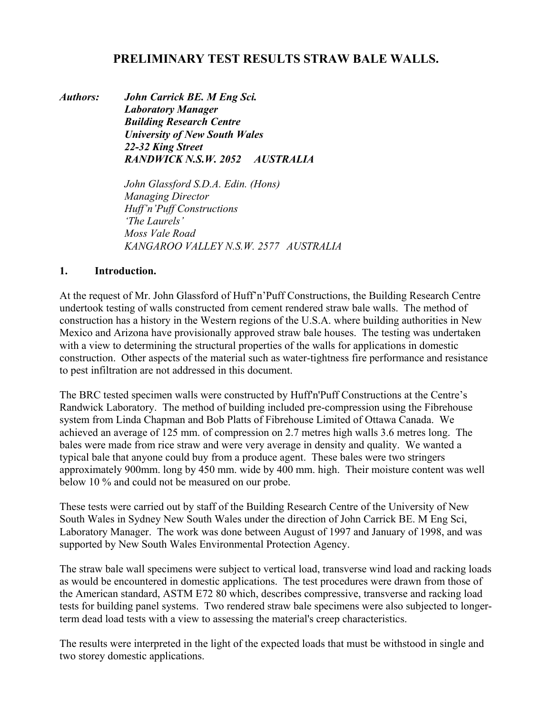# **PRELIMINARY TEST RESULTS STRAW BALE WALLS.**

*Authors: John Carrick BE. M Eng Sci. Laboratory Manager Building Research Centre University of New South Wales 22-32 King Street RANDWICK N.S.W. 2052 AUSTRALIA* 

> *John Glassford S.D.A. Edin. (Hons) Managing Director Huff'n'Puff Constructions 'The Laurels' Moss Vale Road KANGAROO VALLEY N.S.W. 2577 AUSTRALIA*

#### **1. Introduction.**

At the request of Mr. John Glassford of Huff'n'Puff Constructions, the Building Research Centre undertook testing of walls constructed from cement rendered straw bale walls. The method of construction has a history in the Western regions of the U.S.A. where building authorities in New Mexico and Arizona have provisionally approved straw bale houses. The testing was undertaken with a view to determining the structural properties of the walls for applications in domestic construction. Other aspects of the material such as water-tightness fire performance and resistance to pest infiltration are not addressed in this document.

The BRC tested specimen walls were constructed by Huff'n'Puff Constructions at the Centre's Randwick Laboratory. The method of building included pre-compression using the Fibrehouse system from Linda Chapman and Bob Platts of Fibrehouse Limited of Ottawa Canada. We achieved an average of 125 mm. of compression on 2.7 metres high walls 3.6 metres long. The bales were made from rice straw and were very average in density and quality. We wanted a typical bale that anyone could buy from a produce agent. These bales were two stringers approximately 900mm. long by 450 mm. wide by 400 mm. high. Their moisture content was well below 10 % and could not be measured on our probe.

These tests were carried out by staff of the Building Research Centre of the University of New South Wales in Sydney New South Wales under the direction of John Carrick BE. M Eng Sci, Laboratory Manager. The work was done between August of 1997 and January of 1998, and was supported by New South Wales Environmental Protection Agency.

The straw bale wall specimens were subject to vertical load, transverse wind load and racking loads as would be encountered in domestic applications. The test procedures were drawn from those of the American standard, ASTM E72 80 which, describes compressive, transverse and racking load tests for building panel systems. Two rendered straw bale specimens were also subjected to longerterm dead load tests with a view to assessing the material's creep characteristics.

The results were interpreted in the light of the expected loads that must be withstood in single and two storey domestic applications.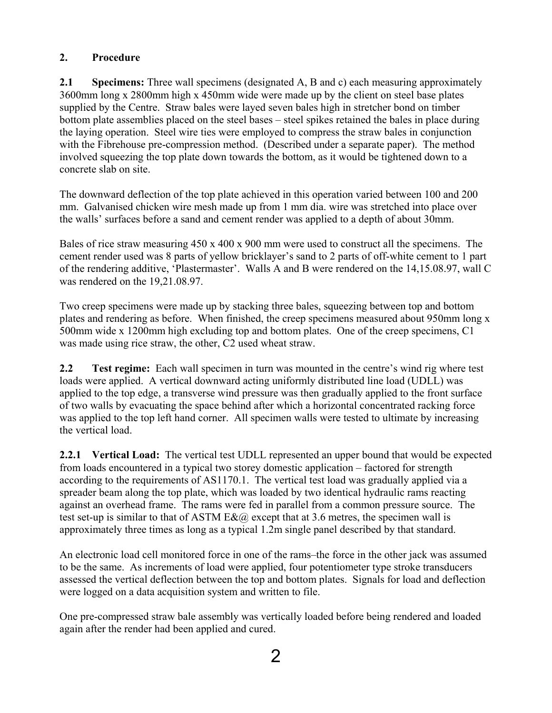## **2. Procedure**

**2.1 Specimens:** Three wall specimens (designated A, B and c) each measuring approximately 3600mm long x 2800mm high x 450mm wide were made up by the client on steel base plates supplied by the Centre. Straw bales were layed seven bales high in stretcher bond on timber bottom plate assemblies placed on the steel bases – steel spikes retained the bales in place during the laying operation. Steel wire ties were employed to compress the straw bales in conjunction with the Fibrehouse pre-compression method. (Described under a separate paper). The method involved squeezing the top plate down towards the bottom, as it would be tightened down to a concrete slab on site.

The downward deflection of the top plate achieved in this operation varied between 100 and 200 mm. Galvanised chicken wire mesh made up from 1 mm dia. wire was stretched into place over the walls' surfaces before a sand and cement render was applied to a depth of about 30mm.

Bales of rice straw measuring 450 x 400 x 900 mm were used to construct all the specimens. The cement render used was 8 parts of yellow bricklayer's sand to 2 parts of off-white cement to 1 part of the rendering additive, 'Plastermaster'. Walls A and B were rendered on the 14,15.08.97, wall C was rendered on the 19,21.08.97.

Two creep specimens were made up by stacking three bales, squeezing between top and bottom plates and rendering as before. When finished, the creep specimens measured about 950mm long x 500mm wide x 1200mm high excluding top and bottom plates. One of the creep specimens, C1 was made using rice straw, the other, C2 used wheat straw.

**2.2** Test regime: Each wall specimen in turn was mounted in the centre's wind rig where test loads were applied. A vertical downward acting uniformly distributed line load (UDLL) was applied to the top edge, a transverse wind pressure was then gradually applied to the front surface of two walls by evacuating the space behind after which a horizontal concentrated racking force was applied to the top left hand corner. All specimen walls were tested to ultimate by increasing the vertical load.

**2.2.1 Vertical Load:** The vertical test UDLL represented an upper bound that would be expected from loads encountered in a typical two storey domestic application – factored for strength according to the requirements of AS1170.1. The vertical test load was gradually applied via a spreader beam along the top plate, which was loaded by two identical hydraulic rams reacting against an overhead frame. The rams were fed in parallel from a common pressure source. The test set-up is similar to that of ASTM  $E&@$  except that at 3.6 metres, the specimen wall is approximately three times as long as a typical 1.2m single panel described by that standard.

An electronic load cell monitored force in one of the rams–the force in the other jack was assumed to be the same. As increments of load were applied, four potentiometer type stroke transducers assessed the vertical deflection between the top and bottom plates. Signals for load and deflection were logged on a data acquisition system and written to file.

One pre-compressed straw bale assembly was vertically loaded before being rendered and loaded again after the render had been applied and cured.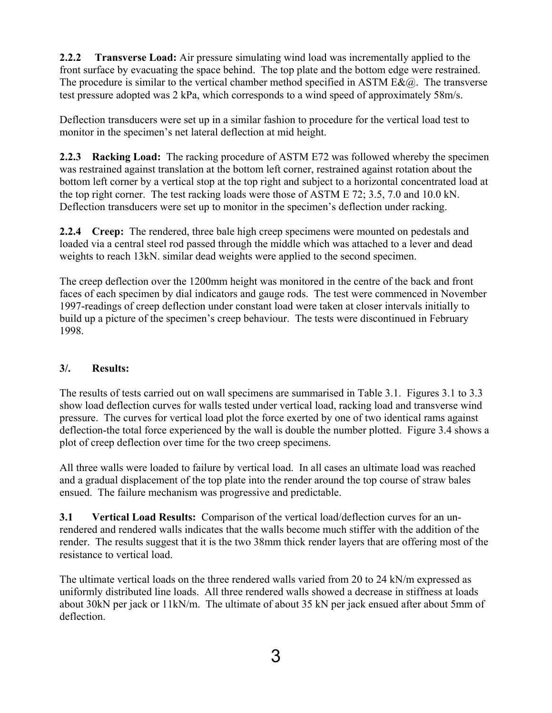**2.2.2 Transverse Load:** Air pressure simulating wind load was incrementally applied to the front surface by evacuating the space behind. The top plate and the bottom edge were restrained. The procedure is similar to the vertical chamber method specified in ASTM  $E\&(a)$ . The transverse test pressure adopted was 2 kPa, which corresponds to a wind speed of approximately 58m/s.

Deflection transducers were set up in a similar fashion to procedure for the vertical load test to monitor in the specimen's net lateral deflection at mid height.

**2.2.3 Racking Load:** The racking procedure of ASTM E72 was followed whereby the specimen was restrained against translation at the bottom left corner, restrained against rotation about the bottom left corner by a vertical stop at the top right and subject to a horizontal concentrated load at the top right corner. The test racking loads were those of ASTM E 72; 3.5, 7.0 and 10.0 kN. Deflection transducers were set up to monitor in the specimen's deflection under racking.

**2.2.4 Creep:** The rendered, three bale high creep specimens were mounted on pedestals and loaded via a central steel rod passed through the middle which was attached to a lever and dead weights to reach 13kN. similar dead weights were applied to the second specimen.

The creep deflection over the 1200mm height was monitored in the centre of the back and front faces of each specimen by dial indicators and gauge rods. The test were commenced in November 1997-readings of creep deflection under constant load were taken at closer intervals initially to build up a picture of the specimen's creep behaviour. The tests were discontinued in February 1998.

## **3/. Results:**

The results of tests carried out on wall specimens are summarised in Table 3.1. Figures 3.1 to 3.3 show load deflection curves for walls tested under vertical load, racking load and transverse wind pressure. The curves for vertical load plot the force exerted by one of two identical rams against deflection-the total force experienced by the wall is double the number plotted. Figure 3.4 shows a plot of creep deflection over time for the two creep specimens.

All three walls were loaded to failure by vertical load. In all cases an ultimate load was reached and a gradual displacement of the top plate into the render around the top course of straw bales ensued. The failure mechanism was progressive and predictable.

**3.1 Vertical Load Results:** Comparison of the vertical load/deflection curves for an unrendered and rendered walls indicates that the walls become much stiffer with the addition of the render. The results suggest that it is the two 38mm thick render layers that are offering most of the resistance to vertical load.

The ultimate vertical loads on the three rendered walls varied from 20 to 24 kN/m expressed as uniformly distributed line loads. All three rendered walls showed a decrease in stiffness at loads about 30kN per jack or 11kN/m. The ultimate of about 35 kN per jack ensued after about 5mm of deflection.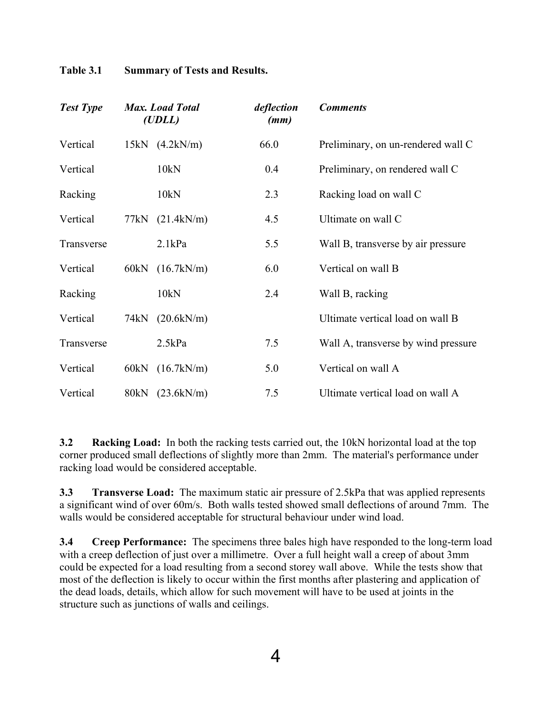| <b>Test Type</b> |      | <b>Max.</b> Load Total<br>(UDLL) | deflection<br>(mm) | <b>Comments</b>                     |
|------------------|------|----------------------------------|--------------------|-------------------------------------|
| Vertical         |      | $15kN$ $(4.2kN/m)$               | 66.0               | Preliminary, on un-rendered wall C  |
| Vertical         |      | 10kN                             | 0.4                | Preliminary, on rendered wall C     |
| Racking          |      | 10kN                             | 2.3                | Racking load on wall C              |
| Vertical         |      | 77kN (21.4kN/m)                  | 4.5                | Ultimate on wall C                  |
| Transverse       |      | 2.1kPa                           | 5.5                | Wall B, transverse by air pressure  |
| Vertical         | 60kN | (16.7kN/m)                       | 6.0                | Vertical on wall B                  |
| Racking          |      | 10kN                             | 2.4                | Wall B, racking                     |
| Vertical         |      | 74kN (20.6kN/m)                  |                    | Ultimate vertical load on wall B    |
| Transverse       |      | 2.5kPa                           | 7.5                | Wall A, transverse by wind pressure |
| Vertical         |      | 60kN (16.7kN/m)                  | 5.0                | Vertical on wall A                  |
| Vertical         | 80kN | (23.6kN/m)                       | 7.5                | Ultimate vertical load on wall A    |

**Table 3.1 Summary of Tests and Results.** 

**3.2 Racking Load:** In both the racking tests carried out, the 10kN horizontal load at the top corner produced small deflections of slightly more than 2mm. The material's performance under racking load would be considered acceptable.

**3.3 Transverse Load:** The maximum static air pressure of 2.5kPa that was applied represents a significant wind of over 60m/s. Both walls tested showed small deflections of around 7mm. The walls would be considered acceptable for structural behaviour under wind load.

**3.4 Creep Performance:** The specimens three bales high have responded to the long-term load with a creep deflection of just over a millimetre. Over a full height wall a creep of about 3mm could be expected for a load resulting from a second storey wall above. While the tests show that most of the deflection is likely to occur within the first months after plastering and application of the dead loads, details, which allow for such movement will have to be used at joints in the structure such as junctions of walls and ceilings.